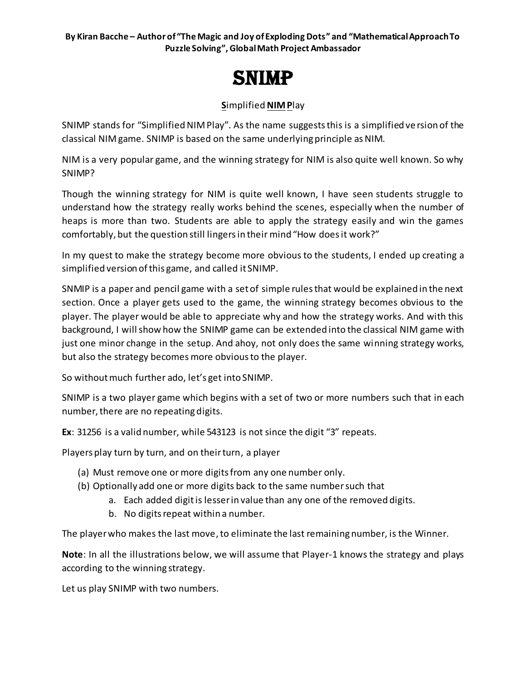# SNIMP

## **S**implified **NIMP**lay

SNIMP stands for "Simplified NIM Play". As the name suggests this is a simplified ve rsion of the classical NIM game. SNIMP is based on the same underlying principle as NIM.

NIM is a very popular game, and the winning strategy for NIM is also quite well known. So why SNIMP?

Though the winning strategy for NIM is quite well known, I have seen students struggle to understand how the strategy really works behind the scenes, especially when the number of heaps is more than two. Students are able to apply the strategy easily and win the games comfortably, but the question still lingersin their mind "How does it work?"

In my quest to make the strategy become more obvious to the students, I ended up creating a simplified version of this game, and called it SNIMP.

SNMIP is a paper and pencil game with a set of simple rules that would be explained in the next section. Once a player gets used to the game, the winning strategy becomes obvious to the player. The player would be able to appreciate why and how the strategy works. And with this background, I will show how the SNIMP game can be extended into the classical NIM game with just one minor change in the setup. And ahoy, not only does the same winning strategy works, but also the strategy becomes more obvious to the player.

So without much further ado, let's get into SNIMP.

SNIMP is a two player game which begins with a set of two or more numbers such that in each number, there are no repeating digits.

**Ex**: 31256 is a valid number, while 543123 is not since the digit "3" repeats.

Players play turn by turn, and on their turn, a player

- (a) Must remove one or more digits from any one number only.
- (b) Optionally add one or more digits back to the same number such that
	- a. Each added digit is lesser in value than any one of the removed digits.
	- b. No digits repeat within a number.

The player who makes the last move, to eliminate the last remaining number, is the Winner.

**Note**: In all the illustrations below, we will assume that Player-1 knows the strategy and plays according to the winning strategy.

Let us play SNIMP with two numbers.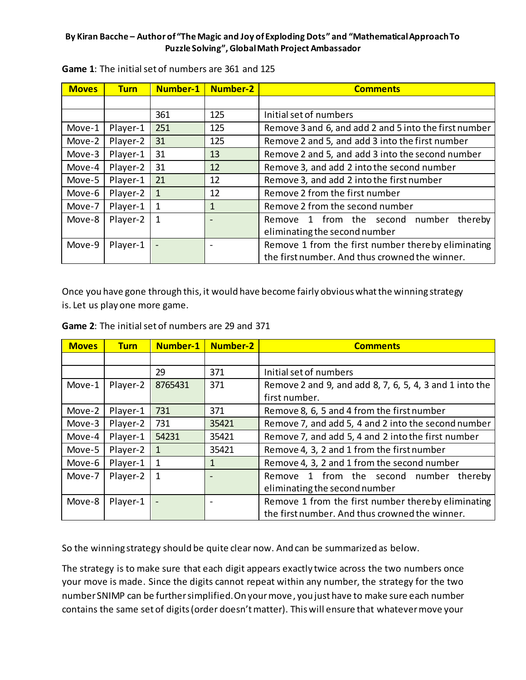| <b>Moves</b> | <b>Turn</b> | Number-1     | <b>Number-2</b> | <b>Comments</b>                                                                                      |
|--------------|-------------|--------------|-----------------|------------------------------------------------------------------------------------------------------|
|              |             |              |                 |                                                                                                      |
|              |             | 361          | 125             | Initial set of numbers                                                                               |
| Move-1       | Player-1    | 251          | 125             | Remove 3 and 6, and add 2 and 5 into the first number                                                |
| Move-2       | Player-2    | 31           | 125             | Remove 2 and 5, and add 3 into the first number                                                      |
| Move-3       | Player-1    | 31           | 13              | Remove 2 and 5, and add 3 into the second number                                                     |
| Move-4       | Player-2    | 31           | 12              | Remove 3, and add 2 into the second number                                                           |
| Move-5       | Player-1    | 21           | 12              | Remove 3, and add 2 into the first number                                                            |
| Move-6       | Player-2    | 1            | 12              | Remove 2 from the first number                                                                       |
| Move-7       | Player-1    | 1            | 1               | Remove 2 from the second number                                                                      |
| Move-8       | Player-2    | $\mathbf{1}$ |                 | Remove 1 from the second number<br>thereby<br>eliminating the second number                          |
| Move-9       | Player-1    |              |                 | Remove 1 from the first number thereby eliminating<br>the first number. And thus crowned the winner. |

**Game 1**: The initial set of numbers are 361 and 125

Once you have gone through this, it would have become fairly obvious what the winning strategy is. Let us play one more game.

| <b>Moves</b> | <b>Turn</b> | <b>Number-1</b> | <b>Number-2</b> | <b>Comments</b>                                         |  |
|--------------|-------------|-----------------|-----------------|---------------------------------------------------------|--|
|              |             |                 |                 |                                                         |  |
|              |             | 29              | 371             | Initial set of numbers                                  |  |
| Move-1       | Player-2    | 8765431         | 371             | Remove 2 and 9, and add 8, 7, 6, 5, 4, 3 and 1 into the |  |
|              |             |                 |                 | first number.                                           |  |
| Move-2       | Player-1    | 731             | 371             | Remove 8, 6, 5 and 4 from the first number              |  |
| Move-3       | Player-2    | 731             | 35421           | Remove 7, and add 5, 4 and 2 into the second number     |  |
| Move-4       | Player-1    | 54231           | 35421           | Remove 7, and add 5, 4 and 2 into the first number      |  |
| Move-5       | Player-2    | 1               | 35421           | Remove 4, 3, 2 and 1 from the first number              |  |
| Move-6       | Player-1    | 1               | 1               | Remove 4, 3, 2 and 1 from the second number             |  |
| Move-7       | Player-2    | $\mathbf{1}$    |                 | Remove 1 from the second number<br>thereby              |  |
|              |             |                 |                 | eliminating the second number                           |  |
| Move-8       | Player-1    |                 |                 | Remove 1 from the first number thereby eliminating      |  |
|              |             |                 |                 | the first number. And thus crowned the winner.          |  |

**Game 2**: The initial set of numbers are 29 and 371

So the winning strategy should be quite clear now. And can be summarized as below.

The strategy is to make sure that each digit appears exactly twice across the two numbers once your move is made. Since the digits cannot repeat within any number, the strategy for the two number SNIMP can be further simplified. On your move, you just have to make sure each number contains the same set of digits (order doesn't matter). This will ensure that whatever move your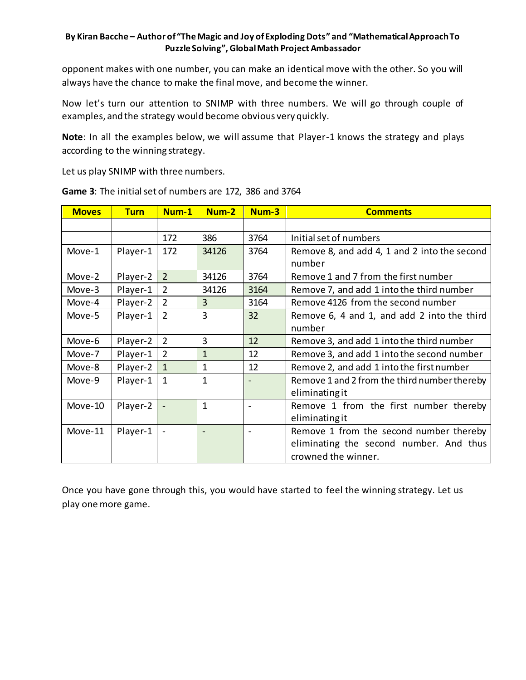opponent makes with one number, you can make an identical move with the other. So you will always have the chance to make the final move, and become the winner.

Now let's turn our attention to SNIMP with three numbers. We will go through couple of examples, and the strategy would become obvious very quickly.

**Note**: In all the examples below, we will assume that Player-1 knows the strategy and plays according to the winning strategy.

Let us play SNIMP with three numbers.

| <b>Moves</b> | <b>Turn</b> | Num-1          | Num-2          | Num-3          | <b>Comments</b>                              |
|--------------|-------------|----------------|----------------|----------------|----------------------------------------------|
|              |             |                |                |                |                                              |
|              |             | 172            | 386            | 3764           | Initial set of numbers                       |
| Move-1       | Player-1    | 172            | 34126          | 3764           | Remove 8, and add 4, 1 and 2 into the second |
|              |             |                |                |                | number                                       |
| Move-2       | Player-2    | $\overline{2}$ | 34126          | 3764           | Remove 1 and 7 from the first number         |
| Move-3       | Player-1    | $\overline{2}$ | 34126          | 3164           | Remove 7, and add 1 into the third number    |
| Move-4       | Player-2    | $\overline{2}$ | $\overline{3}$ | 3164           | Remove 4126 from the second number           |
| Move-5       | Player-1    | $\overline{2}$ | $\overline{3}$ | 32             | Remove 6, 4 and 1, and add 2 into the third  |
|              |             |                |                |                | number                                       |
| Move-6       | Player-2    | $\overline{2}$ | 3              | 12             | Remove 3, and add 1 into the third number    |
| Move-7       | Player-1    | $\overline{2}$ | $\mathbf{1}$   | 12             | Remove 3, and add 1 into the second number   |
| Move-8       | Player-2    | $\mathbf{1}$   | 1              | 12             | Remove 2, and add 1 into the first number    |
| Move-9       | Player-1    | $\mathbf{1}$   | 1              |                | Remove 1 and 2 from the third number thereby |
|              |             |                |                |                | eliminatingit                                |
| Move-10      | Player-2    |                | 1              | $\blacksquare$ | Remove 1 from the first number thereby       |
|              |             |                |                |                | eliminating it                               |
| Move-11      | Player-1    |                |                |                | Remove 1 from the second number thereby      |
|              |             |                |                |                | eliminating the second number. And thus      |
|              |             |                |                |                | crowned the winner.                          |

**Game 3**: The initial set of numbers are 172, 386 and 3764

Once you have gone through this, you would have started to feel the winning strategy. Let us play one more game.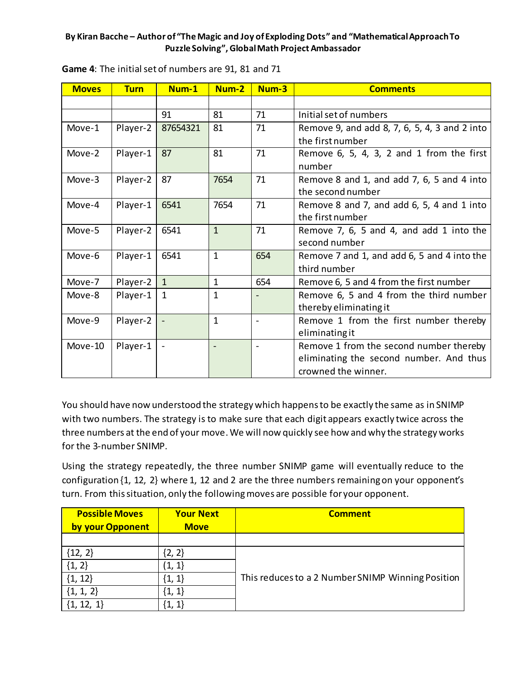| <b>Moves</b> | <b>Turn</b> | Num-1        | Num-2        | Num-3                    | <b>Comments</b>                                                                                           |
|--------------|-------------|--------------|--------------|--------------------------|-----------------------------------------------------------------------------------------------------------|
|              |             |              |              |                          |                                                                                                           |
|              |             | 91           | 81           | 71                       | Initial set of numbers                                                                                    |
| Move-1       | Player-2    | 87654321     | 81           | 71                       | Remove 9, and add 8, 7, 6, 5, 4, 3 and 2 into<br>the first number                                         |
| Move-2       | Player-1    | 87           | 81           | 71                       | Remove 6, 5, 4, 3, 2 and 1 from the first<br>number                                                       |
| Move-3       | Player-2    | 87           | 7654         | 71                       | Remove 8 and 1, and add 7, 6, 5 and 4 into<br>the second number                                           |
| Move-4       | Player-1    | 6541         | 7654         | 71                       | Remove 8 and 7, and add 6, 5, 4 and 1 into<br>the first number                                            |
| Move-5       | Player-2    | 6541         | $\mathbf{1}$ | 71                       | Remove 7, 6, 5 and 4, and add 1 into the<br>second number                                                 |
| Move-6       | Player-1    | 6541         | $\mathbf{1}$ | 654                      | Remove 7 and 1, and add 6, 5 and 4 into the<br>third number                                               |
| Move-7       | Player-2    | $\mathbf{1}$ | $\mathbf{1}$ | 654                      | Remove 6, 5 and 4 from the first number                                                                   |
| Move-8       | Player-1    | $\mathbf{1}$ | $\mathbf{1}$ |                          | Remove 6, 5 and 4 from the third number<br>thereby eliminating it                                         |
| Move-9       | Player-2    |              | $\mathbf{1}$ | $\blacksquare$           | Remove 1 from the first number thereby<br>eliminatingit                                                   |
| Move-10      | Player-1    |              |              | $\overline{\phantom{a}}$ | Remove 1 from the second number thereby<br>eliminating the second number. And thus<br>crowned the winner. |

**Game 4**: The initial set of numbers are 91, 81 and 71

You should have now understood the strategy which happens to be exactly the same as in SNIMP with two numbers. The strategy is to make sure that each digit appears exactly twice across the three numbers at the end of your move. We will now quickly see how and why the strategy works for the 3-number SNIMP.

Using the strategy repeatedly, the three number SNIMP game will eventually reduce to the configuration {1, 12, 2} where 1, 12 and 2 are the three numbers remaining on your opponent's turn. From this situation, only the following moves are possible for your opponent.

| <b>Possible Moves</b> | <b>Your Next</b> | <b>Comment</b>                                    |
|-----------------------|------------------|---------------------------------------------------|
| by your Opponent      | <b>Move</b>      |                                                   |
|                       |                  |                                                   |
| ${12, 2}$             | [2, 2]           |                                                   |
| ${1, 2}$              | (1, 1)           |                                                   |
| ${1, 12}$             | $\{1, 1\}$       | This reduces to a 2 Number SNIMP Winning Position |
| $\{1, 1, 2\}$         | $\{1, 1\}$       |                                                   |
|                       | $\{1, 1\}$       |                                                   |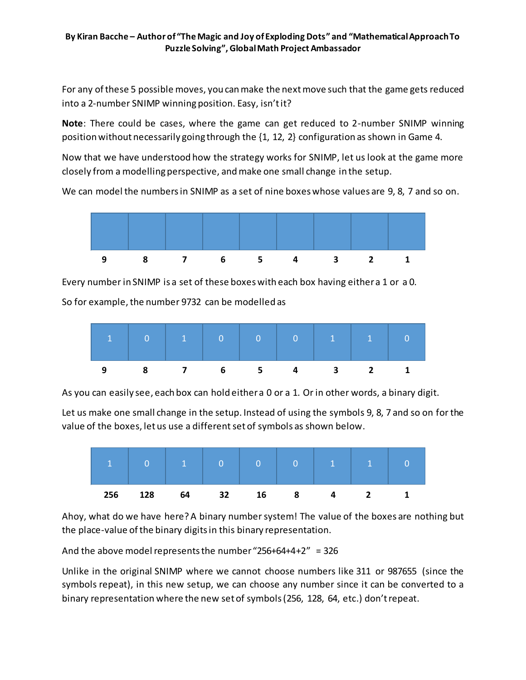For any of these 5 possible moves, you can make the next move such that the game gets reduced into a 2-number SNIMP winning position. Easy, isn't it?

**Note**: There could be cases, where the game can get reduced to 2-number SNIMP winning position without necessarily going through the {1, 12, 2} configuration as shown in Game 4.

Now that we have understood how the strategy works for SNIMP, let us look at the game more closely from a modelling perspective, and make one small change in the setup.

We can model the numbers in SNIMP as a set of nine boxes whose values are 9, 8, 7 and so on.



Every number in SNIMP is a set of these boxes with each box having either a 1 or a 0.

So for example, the number 9732 can be modelled as



As you can easily see, each box can hold either a 0 or a 1. Or in other words, a binary digit.

Let us make one small change in the setup. Instead of using the symbols 9, 8, 7 and so on for the value of the boxes, let us use a different set of symbols as shown below.



Ahoy, what do we have here? A binary number system! The value of the boxes are nothing but the place-value of the binary digits in this binary representation.

And the above model represents the number "256+64+4+2" = 326

Unlike in the original SNIMP where we cannot choose numbers like 311 or 987655 (since the symbols repeat), in this new setup, we can choose any number since it can be converted to a binary representation where the new set of symbols (256, 128, 64, etc.) don't repeat.